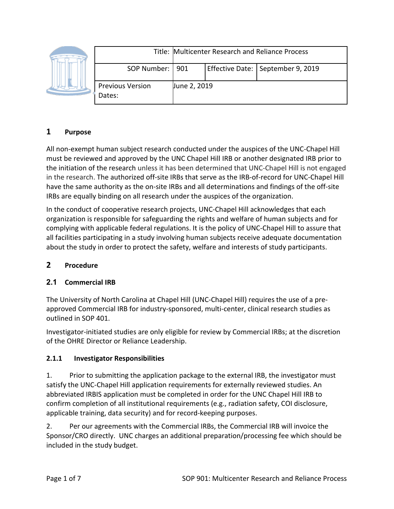|  |                                   | Title: Multicenter Research and Reliance Process |  |                                     |
|--|-----------------------------------|--------------------------------------------------|--|-------------------------------------|
|  | SOP Number:   901                 |                                                  |  | Effective Date:   September 9, 2019 |
|  | <b>Previous Version</b><br>Dates: | June 2, 2019                                     |  |                                     |

# **1 Purpose**

All non-exempt human subject research conducted under the auspices of the UNC-Chapel Hill must be reviewed and approved by the UNC Chapel Hill IRB or another designated IRB prior to the initiation of the research unless it has been determined that UNC-Chapel Hill is not engaged in the research. The authorized off-site IRBs that serve as the IRB-of-record for UNC-Chapel Hill have the same authority as the on-site IRBs and all determinations and findings of the off-site IRBs are equally binding on all research under the auspices of the organization.

In the conduct of cooperative research projects, UNC-Chapel Hill acknowledges that each organization is responsible for safeguarding the rights and welfare of human subjects and for complying with applicable federal regulations. It is the policy of UNC-Chapel Hill to assure that all facilities participating in a study involving human subjects receive adequate documentation about the study in order to protect the safety, welfare and interests of study participants.

# **2 Procedure**

# **2.1 Commercial IRB**

The University of North Carolina at Chapel Hill (UNC-Chapel Hill) requires the use of a preapproved Commercial IRB for industry-sponsored, multi-center, clinical research studies as outlined in SOP 401.

Investigator-initiated studies are only eligible for review by Commercial IRBs; at the discretion of the OHRE Director or Reliance Leadership.

#### **2.1.1 Investigator Responsibilities**

1. Prior to submitting the application package to the external IRB, the investigator must satisfy the UNC-Chapel Hill application requirements for externally reviewed studies. An abbreviated IRBIS application must be completed in order for the UNC Chapel Hill IRB to confirm completion of all institutional requirements (e.g., radiation safety, COI disclosure, applicable training, data security) and for record-keeping purposes.

2. Per our agreements with the Commercial IRBs, the Commercial IRB will invoice the Sponsor/CRO directly. UNC charges an additional preparation/processing fee which should be included in the study budget.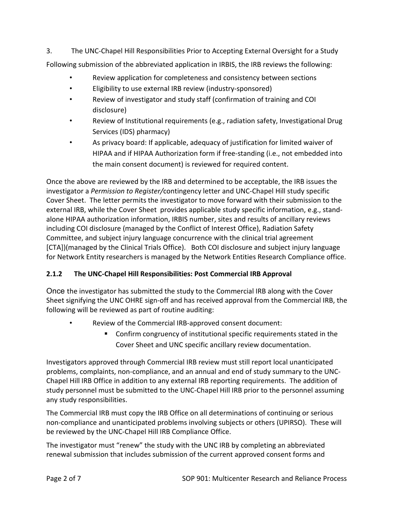3. The UNC-Chapel Hill Responsibilities Prior to Accepting External Oversight for a Study Following submission of the abbreviated application in IRBIS, the IRB reviews the following:

- Review application for completeness and consistency between sections
- Eligibility to use external IRB review (industry-sponsored)
- Review of investigator and study staff (confirmation of training and COI disclosure)
- Review of Institutional requirements (e.g., radiation safety, Investigational Drug Services (IDS) pharmacy)
- As privacy board: If applicable, adequacy of justification for limited waiver of HIPAA and if HIPAA Authorization form if free-standing (i.e., not embedded into the main consent document) is reviewed for required content.

Once the above are reviewed by the IRB and determined to be acceptable, the IRB issues the investigator a *Permission to Register/*contingency letter and UNC-Chapel Hill study specific Cover Sheet. The letter permits the investigator to move forward with their submission to the external IRB, while the Cover Sheet provides applicable study specific information, e.g., standalone HIPAA authorization information, IRBIS number, sites and results of ancillary reviews including COI disclosure (managed by the Conflict of Interest Office), Radiation Safety Committee, and subject injury language concurrence with the clinical trial agreement [CTA])(managed by the Clinical Trials Office). Both COI disclosure and subject injury language for Network Entity researchers is managed by the Network Entities Research Compliance office.

# **2.1.2 The UNC-Chapel Hill Responsibilities: Post Commercial IRB Approval**

Once the investigator has submitted the study to the Commercial IRB along with the Cover Sheet signifying the UNC OHRE sign-off and has received approval from the Commercial IRB, the following will be reviewed as part of routine auditing:

- Review of the Commercial IRB-approved consent document:
	- Confirm congruency of institutional specific requirements stated in the Cover Sheet and UNC specific ancillary review documentation.

Investigators approved through Commercial IRB review must still report local unanticipated problems, complaints, non-compliance, and an annual and end of study summary to the UNC-Chapel Hill IRB Office in addition to any external IRB reporting requirements. The addition of study personnel must be submitted to the UNC-Chapel Hill IRB prior to the personnel assuming any study responsibilities.

The Commercial IRB must copy the IRB Office on all determinations of continuing or serious non-compliance and unanticipated problems involving subjects or others (UPIRSO). These will be reviewed by the UNC-Chapel Hill IRB Compliance Office.

The investigator must "renew" the study with the UNC IRB by completing an abbreviated renewal submission that includes submission of the current approved consent forms and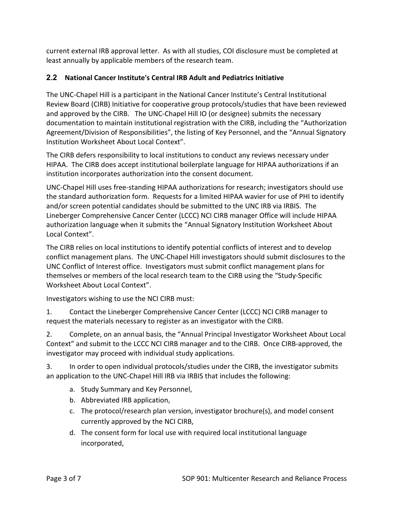current external IRB approval letter. As with all studies, COI disclosure must be completed at least annually by applicable members of the research team.

### **2.2 National Cancer Institute's Central IRB Adult and Pediatrics Initiative**

The UNC-Chapel Hill is a participant in the National Cancer Institute's Central Institutional Review Board (CIRB) Initiative for cooperative group protocols/studies that have been reviewed and approved by the CIRB. The UNC-Chapel Hill IO (or designee) submits the necessary documentation to maintain institutional registration with the CIRB, including the "Authorization Agreement/Division of Responsibilities", the listing of Key Personnel, and the "Annual Signatory Institution Worksheet About Local Context".

The CIRB defers responsibility to local institutions to conduct any reviews necessary under HIPAA. The CIRB does accept institutional boilerplate language for HIPAA authorizations if an institution incorporates authorization into the consent document.

UNC-Chapel Hill uses free-standing HIPAA authorizations for research; investigators should use the standard authorization form. Requests for a limited HIPAA wavier for use of PHI to identify and/or screen potential candidates should be submitted to the UNC IRB via IRBIS. The Lineberger Comprehensive Cancer Center (LCCC) NCI CIRB manager Office will include HIPAA authorization language when it submits the "Annual Signatory Institution Worksheet About Local Context".

The CIRB relies on local institutions to identify potential conflicts of interest and to develop conflict management plans. The UNC-Chapel Hill investigators should submit disclosures to the UNC Conflict of Interest office. Investigators must submit conflict management plans for themselves or members of the local research team to the CIRB using the "Study-Specific Worksheet About Local Context".

Investigators wishing to use the NCI CIRB must:

1. Contact the Lineberger Comprehensive Cancer Center (LCCC) NCI CIRB manager to request the materials necessary to register as an investigator with the CIRB.

2. Complete, on an annual basis, the "Annual Principal Investigator Worksheet About Local Context" and submit to the LCCC NCI CIRB manager and to the CIRB. Once CIRB-approved, the investigator may proceed with individual study applications.

3. In order to open individual protocols/studies under the CIRB, the investigator submits an application to the UNC-Chapel Hill IRB via IRBIS that includes the following:

- a. Study Summary and Key Personnel,
- b. Abbreviated IRB application,
- c. The protocol/research plan version, investigator brochure(s), and model consent currently approved by the NCI CIRB,
- d. The consent form for local use with required local institutional language incorporated,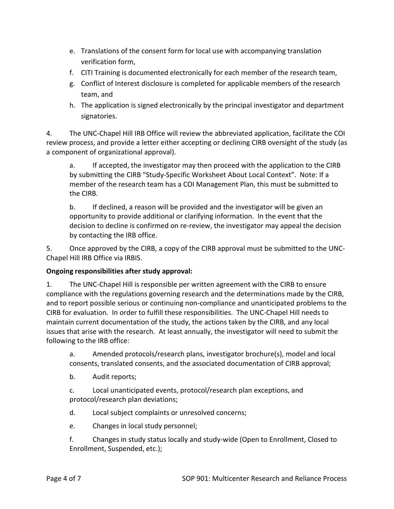- e. Translations of the consent form for local use with accompanying translation verification form,
- f. CITI Training is documented electronically for each member of the research team,
- g. Conflict of Interest disclosure is completed for applicable members of the research team, and
- h. The application is signed electronically by the principal investigator and department signatories.

4. The UNC-Chapel Hill IRB Office will review the abbreviated application, facilitate the COI review process, and provide a letter either accepting or declining CIRB oversight of the study (as a component of organizational approval).

a. If accepted, the investigator may then proceed with the application to the CIRB by submitting the CIRB "Study-Specific Worksheet About Local Context". Note: If a member of the research team has a COI Management Plan, this must be submitted to the CIRB.

b. If declined, a reason will be provided and the investigator will be given an opportunity to provide additional or clarifying information. In the event that the decision to decline is confirmed on re-review, the investigator may appeal the decision by contacting the IRB office.

5. Once approved by the CIRB, a copy of the CIRB approval must be submitted to the UNC-Chapel Hill IRB Office via IRBIS.

#### **Ongoing responsibilities after study approval:**

1. The UNC-Chapel Hill is responsible per written agreement with the CIRB to ensure compliance with the regulations governing research and the determinations made by the CIRB, and to report possible serious or continuing non-compliance and unanticipated problems to the CIRB for evaluation. In order to fulfill these responsibilities. The UNC-Chapel Hill needs to maintain current documentation of the study, the actions taken by the CIRB, and any local issues that arise with the research. At least annually, the investigator will need to submit the following to the IRB office:

a. Amended protocols/research plans, investigator brochure(s), model and local consents, translated consents, and the associated documentation of CIRB approval;

b. Audit reports;

c. Local unanticipated events, protocol/research plan exceptions, and protocol/research plan deviations;

- d. Local subject complaints or unresolved concerns;
- e. Changes in local study personnel;

f. Changes in study status locally and study-wide (Open to Enrollment, Closed to Enrollment, Suspended, etc.);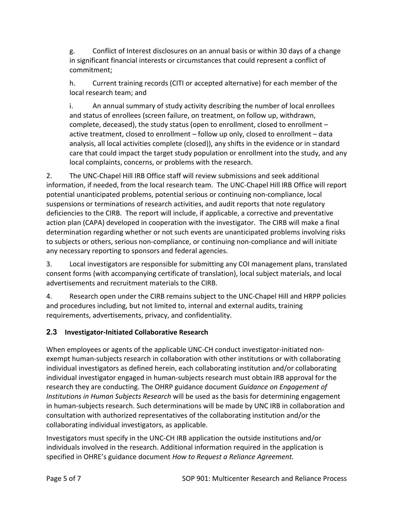g. Conflict of Interest disclosures on an annual basis or within 30 days of a change in significant financial interests or circumstances that could represent a conflict of commitment;

h. Current training records (CITI or accepted alternative) for each member of the local research team; and

i. An annual summary of study activity describing the number of local enrollees and status of enrollees (screen failure, on treatment, on follow up, withdrawn, complete, deceased), the study status (open to enrollment, closed to enrollment – active treatment, closed to enrollment – follow up only, closed to enrollment – data analysis, all local activities complete (closed)), any shifts in the evidence or in standard care that could impact the target study population or enrollment into the study, and any local complaints, concerns, or problems with the research.

2. The UNC-Chapel Hill IRB Office staff will review submissions and seek additional information, if needed, from the local research team. The UNC-Chapel Hill IRB Office will report potential unanticipated problems, potential serious or continuing non-compliance, local suspensions or terminations of research activities, and audit reports that note regulatory deficiencies to the CIRB. The report will include, if applicable, a corrective and preventative action plan (CAPA) developed in cooperation with the investigator. The CIRB will make a final determination regarding whether or not such events are unanticipated problems involving risks to subjects or others, serious non-compliance, or continuing non-compliance and will initiate any necessary reporting to sponsors and federal agencies.

3. Local investigators are responsible for submitting any COI management plans, translated consent forms (with accompanying certificate of translation), local subject materials, and local advertisements and recruitment materials to the CIRB.

4. Research open under the CIRB remains subject to the UNC-Chapel Hill and HRPP policies and procedures including, but not limited to, internal and external audits, training requirements, advertisements, privacy, and confidentiality.

# **2.3 Investigator-Initiated Collaborative Research**

When employees or agents of the applicable UNC-CH conduct investigator-initiated nonexempt human-subjects research in collaboration with other institutions or with collaborating individual investigators as defined herein, each collaborating institution and/or collaborating individual investigator engaged in human-subjects research must obtain IRB approval for the research they are conducting. The OHRP guidance document *Guidance on Engagement of Institutions in Human Subjects Research* will be used as the basis for determining engagement in human-subjects research. Such determinations will be made by UNC IRB in collaboration and consultation with authorized representatives of the collaborating institution and/or the collaborating individual investigators, as applicable.

Investigators must specify in the UNC-CH IRB application the outside institutions and/or individuals involved in the research. Additional information required in the application is specified in OHRE's guidance document *How to Request a Reliance Agreement.*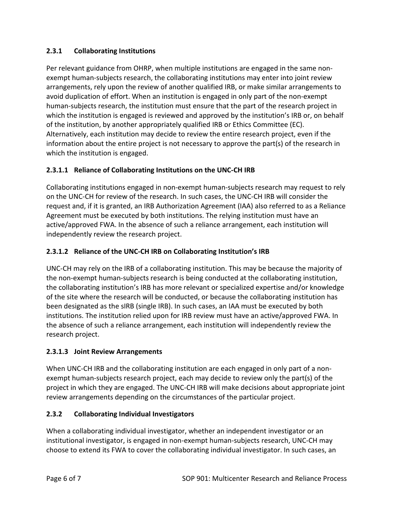### **2.3.1 Collaborating Institutions**

Per relevant guidance from OHRP, when multiple institutions are engaged in the same nonexempt human-subjects research, the collaborating institutions may enter into joint review arrangements, rely upon the review of another qualified IRB, or make similar arrangements to avoid duplication of effort. When an institution is engaged in only part of the non-exempt human-subjects research, the institution must ensure that the part of the research project in which the institution is engaged is reviewed and approved by the institution's IRB or, on behalf of the institution, by another appropriately qualified IRB or Ethics Committee (EC). Alternatively, each institution may decide to review the entire research project, even if the information about the entire project is not necessary to approve the part(s) of the research in which the institution is engaged.

### **2.3.1.1 Reliance of Collaborating Institutions on the UNC-CH IRB**

Collaborating institutions engaged in non-exempt human-subjects research may request to rely on the UNC-CH for review of the research. In such cases, the UNC-CH IRB will consider the request and, if it is granted, an IRB Authorization Agreement (IAA) also referred to as a Reliance Agreement must be executed by both institutions. The relying institution must have an active/approved FWA. In the absence of such a reliance arrangement, each institution will independently review the research project.

### **2.3.1.2 Reliance of the UNC-CH IRB on Collaborating Institution's IRB**

UNC-CH may rely on the IRB of a collaborating institution. This may be because the majority of the non-exempt human-subjects research is being conducted at the collaborating institution, the collaborating institution's IRB has more relevant or specialized expertise and/or knowledge of the site where the research will be conducted, or because the collaborating institution has been designated as the sIRB (single IRB). In such cases, an IAA must be executed by both institutions. The institution relied upon for IRB review must have an active/approved FWA. In the absence of such a reliance arrangement, each institution will independently review the research project.

#### **2.3.1.3 Joint Review Arrangements**

When UNC-CH IRB and the collaborating institution are each engaged in only part of a nonexempt human-subjects research project, each may decide to review only the part(s) of the project in which they are engaged. The UNC-CH IRB will make decisions about appropriate joint review arrangements depending on the circumstances of the particular project.

#### **2.3.2 Collaborating Individual Investigators**

When a collaborating individual investigator, whether an independent investigator or an institutional investigator, is engaged in non-exempt human-subjects research, UNC-CH may choose to extend its FWA to cover the collaborating individual investigator. In such cases, an